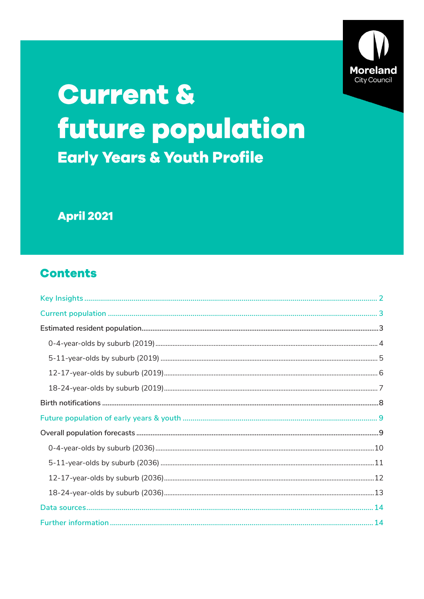

# **Current &** future population **Early Years & Youth Profile**

**April 2021** 

# **Contents**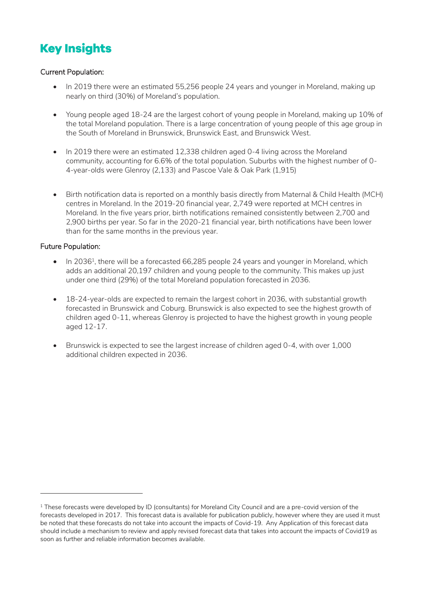# <span id="page-1-0"></span>**Key Insights**

#### Current Population:

- In 2019 there were an estimated 55,256 people 24 years and younger in Moreland, making up nearly on third (30%) of Moreland's population.
- Young people aged 18-24 are the largest cohort of young people in Moreland, making up 10% of the total Moreland population. There is a large concentration of young people of this age group in the South of Moreland in Brunswick, Brunswick East, and Brunswick West.
- In 2019 there were an estimated 12,338 children aged 0-4 living across the Moreland community, accounting for 6.6% of the total population. Suburbs with the highest number of 0- 4-year-olds were Glenroy (2,133) and Pascoe Vale & Oak Park (1,915)
- Birth notification data is reported on a monthly basis directly from Maternal & Child Health (MCH) centres in Moreland. In the 2019-20 financial year, 2,749 were reported at MCH centres in Moreland. In the five years prior, birth notifications remained consistently between 2,700 and 2,900 births per year. So far in the 2020-21 financial year, birth notifications have been lower than for the same months in the previous year.

#### Future Population:

-

- $\bullet$  In 2036<sup>1</sup>, there will be a forecasted 66,285 people 24 years and younger in Moreland, which adds an additional 20,197 children and young people to the community. This makes up just under one third (29%) of the total Moreland population forecasted in 2036.
- 18-24-year-olds are expected to remain the largest cohort in 2036, with substantial growth forecasted in Brunswick and Coburg. Brunswick is also expected to see the highest growth of children aged 0-11, whereas Glenroy is projected to have the highest growth in young people aged 12-17.
- Brunswick is expected to see the largest increase of children aged 0-4, with over 1,000 additional children expected in 2036.

 $1$  These forecasts were developed by ID (consultants) for Moreland City Council and are a pre-covid version of the forecasts developed in 2017. This forecast data is available for publication publicly, however where they are used it must be noted that these forecasts do not take into account the impacts of Covid-19. Any Application of this forecast data should include a mechanism to review and apply revised forecast data that takes into account the impacts of Covid19 as soon as further and reliable information becomes available.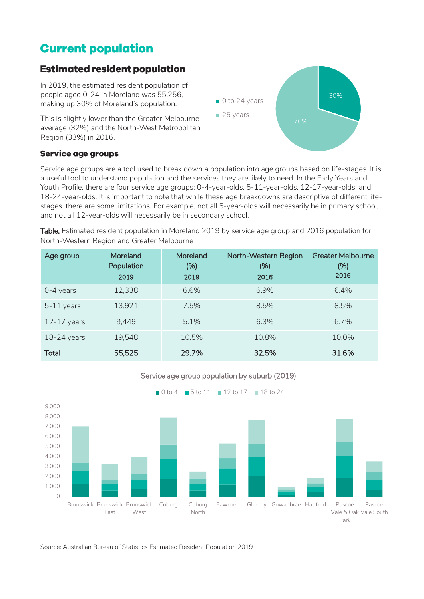## <span id="page-2-0"></span>**Current population**

### <span id="page-2-1"></span>**Estimated resident population**

In 2019, the estimated resident population of people aged 0-24 in Moreland was 55,256, making up 30% of Moreland's population.

This is slightly lower than the Greater Melbourne average (32%) and the North-West Metropolitan Region (33%) in 2016.



#### **Service age groups**

Service age groups are a tool used to break down a population into age groups based on life-stages. It is a useful tool to understand population and the services they are likely to need. In the Early Years and Youth Profile, there are four service age groups: 0-4-year-olds, 5-11-year-olds, 12-17-year-olds, and 18-24-year-olds. It is important to note that while these age breakdowns are descriptive of different lifestages, there are some limitations. For example, not all 5-year-olds will necessarily be in primary school, and not all 12-year-olds will necessarily be in secondary school.

Table. Estimated resident population in Moreland 2019 by service age group and 2016 population for North-Western Region and Greater Melbourne

| Age group     | Moreland<br>Population<br>2019 | Moreland<br>(%)<br>2019 | North-Western Region<br>(%)<br>2016 | <b>Greater Melbourne</b><br>(%)<br>2016 |
|---------------|--------------------------------|-------------------------|-------------------------------------|-----------------------------------------|
| $0-4$ years   | 12,338                         | 6.6%                    | 6.9%                                | 6.4%                                    |
| $5-11$ years  | 13,921                         | 7.5%                    | 8.5%                                | 8.5%                                    |
| $12-17$ years | 9,449                          | 5.1%                    | 6.3%                                | 6.7%                                    |
| $18-24$ years | 19,548                         | 10.5%                   | 10.8%                               | 10.0%                                   |
| <b>Total</b>  | 55,525                         | 29.7%                   | 32.5%                               | 31.6%                                   |





Source: Australian Bureau of Statistics Estimated Resident Population 2019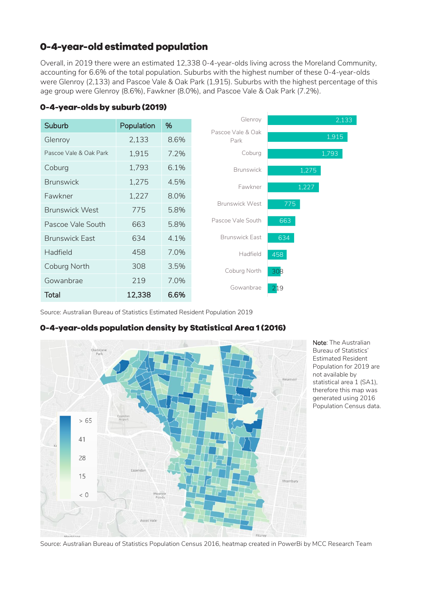### 0-4-year-old estimated population

Overall, in 2019 there were an estimated 12,338 0-4-year-olds living across the Moreland Community, accounting for 6.6% of the total population. Suburbs with the highest number of these 0-4-year-olds were Glenroy (2,133) and Pascoe Vale & Oak Park (1,915). Suburbs with the highest percentage of this age group were Glenroy (8.6%), Fawkner (8.0%), and Pascoe Vale & Oak Park (7.2%).

### <span id="page-3-0"></span>0-4-year-olds by suburb (2019)

| Suburb                 | Population | %    | Glenroy                   | 2.133 |
|------------------------|------------|------|---------------------------|-------|
| Glenroy                | 2,133      | 8.6% | Pascoe Vale & Oak<br>Park | 1,915 |
| Pascoe Vale & Oak Park | 1,915      | 7.2% | Coburg                    | 1,793 |
| Coburg                 | 1,793      | 6.1% | <b>Brunswick</b>          | 1,275 |
| <b>Brunswick</b>       | 1,275      | 4.5% | Fawkner                   | 1,227 |
| Fawkner                | 1,227      | 8.0% |                           |       |
| <b>Brunswick West</b>  | 775        | 5.8% | <b>Brunswick West</b>     | 775   |
| Pascoe Vale South      | 663        | 5.8% | Pascoe Vale South         | 663   |
| <b>Brunswick East</b>  | 634        | 4.1% | <b>Brunswick East</b>     | 634   |
| Hadfield               | 458        | 7.0% | Hadfield                  | 458   |
| Coburg North           | 308        | 3.5% | Coburg North              | 308   |
| Gowanbrae              | 219        | 7.0% | Gowanbrae                 |       |
| <b>Total</b>           | 12,338     | 6.6% |                           | 219   |

Source: Australian Bureau of Statistics Estimated Resident Population 2019

### 0-4-year-olds population density by Statistical Area 1 (2016)



Note: The Australian Bureau of Statistics' Estimated Resident Population for 2019 are not available by statistical area 1 (SA1), therefore this map was generated using 2016 Population Census data.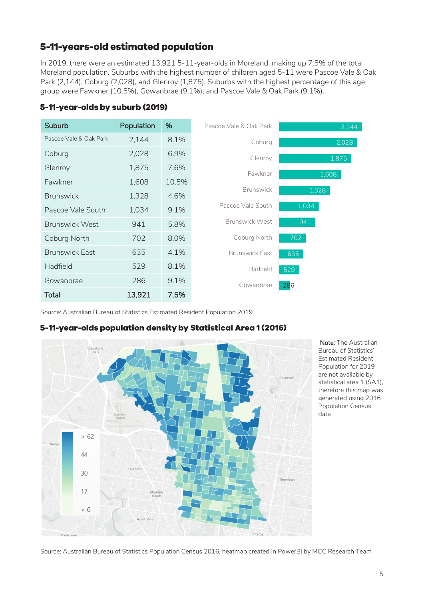### 5-11-years-old estimated population

In 2019, there were an estimated 13,921 5-11-year-olds in Moreland, making up 7.5% of the total Moreland population. Suburbs with the highest number of children aged 5-11 were Pascoe Vale & Oak Park (2,144), Coburg (2,028), and Glenroy (1,875). Suburbs with the highest percentage of this age group were Fawkner (10.5%), Gowanbrae (9.1%), and Pascoe Vale & Oak Park (9.1%).

### <span id="page-4-0"></span>5-11-year-olds by suburb (2019)

| Suburb                 | Population | %     | Pascoe Vale & Oak Park | 2,144 |
|------------------------|------------|-------|------------------------|-------|
| Pascoe Vale & Oak Park | 2,144      | 8.1%  | Coburg                 | 2,028 |
| Coburg                 | 2,028      | 6.9%  | Glenroy                | 1,875 |
| Glenroy                | 1,875      | 7.6%  | Fawkner                | 1,608 |
| Fawkner                | 1,608      | 10.5% |                        |       |
| <b>Brunswick</b>       | 1,328      | 4.6%  | <b>Brunswick</b>       | 1,328 |
| Pascoe Vale South      | 1,034      | 9.1%  | Pascoe Vale South      | 1,034 |
| <b>Brunswick West</b>  | 941        | 5.8%  | <b>Brunswick West</b>  | 941   |
| Coburg North           | 702        | 8.0%  | Coburg North           | 702   |
| <b>Brunswick East</b>  | 635        | 4.1%  | <b>Brunswick East</b>  | 635   |
| Hadfield               | 529        | 8.1%  | Hadfield               | 529   |
| Gowanbrae              | 286        | 9.1%  | Gowanbrae              | 286   |
| Total                  | 13,921     | 7.5%  |                        |       |

Source: Australian Bureau of Statistics Estimated Resident Population 2019

### 5-11-year-olds population density by Statistical Area 1 (2016)



 Note: The Australian Bureau of Statistics' Estimated Resident Population for 2019 are not available by statistical area 1 (SA1), therefore this map was generated using 2016 Population Census data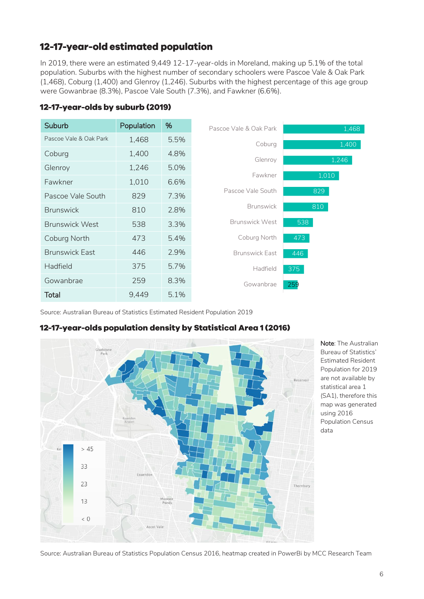### 12-17-year-old estimated population

In 2019, there were an estimated 9,449 12-17-year-olds in Moreland, making up 5.1% of the total population. Suburbs with the highest number of secondary schoolers were Pascoe Vale & Oak Park (1,468), Coburg (1,400) and Glenroy (1,246). Suburbs with the highest percentage of this age group were Gowanbrae (8.3%), Pascoe Vale South (7.3%), and Fawkner (6.6%).

### <span id="page-5-0"></span>12-17-year-olds by suburb (2019)

| Suburb                 | Population | %    | Pascoe Vale & Oak Park | 1,468 |
|------------------------|------------|------|------------------------|-------|
| Pascoe Vale & Oak Park | 1,468      | 5.5% | Coburg                 | 1,400 |
| Coburg                 | 1,400      | 4.8% | Glenroy                | 1,246 |
| Glenroy                | 1,246      | 5.0% |                        |       |
| Fawkner                | 1,010      | 6.6% | Fawkner                | 1,010 |
| Pascoe Vale South      | 829        | 7.3% | Pascoe Vale South      | 829   |
| <b>Brunswick</b>       | 810        | 2.8% | <b>Brunswick</b>       | 810   |
| <b>Brunswick West</b>  | 538        | 3.3% | <b>Brunswick West</b>  | 538   |
| Coburg North           | 473        | 5.4% | Coburg North           | 473   |
| <b>Brunswick East</b>  | 446        | 2.9% | <b>Brunswick East</b>  | 446   |
| Hadfield               | 375        | 5.7% | Hadfield               | 375   |
| Gowanbrae              | 259        | 8.3% | Gowanbrae              | 259   |
| <b>Total</b>           | 9,449      | 5.1% |                        |       |

Source: Australian Bureau of Statistics Estimated Resident Population 2019

### 12-17-year-olds population density by Statistical Area 1 (2016)



Note: The Australian Bureau of Statistics' Estimated Resident Population for 2019 are not available by statistical area 1 (SA1), therefore this map was generated using 2016 Population Census data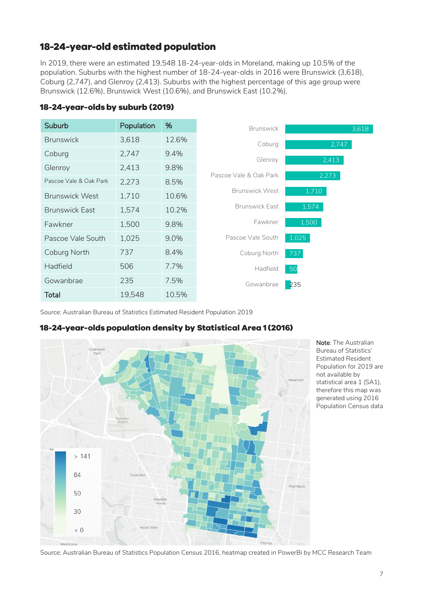### 18-24-year-old estimated population

In 2019, there were an estimated 19,548 18-24-year-olds in Moreland, making up 10.5% of the population. Suburbs with the highest number of 18-24-year-olds in 2016 were Brunswick (3,618), Coburg (2,747), and Glenroy (2,413). Suburbs with the highest percentage of this age group were Brunswick (12.6%), Brunswick West (10.6%), and Brunswick East (10.2%).

| Suburb                 | Population | %     | <b>Brunswick</b>       | 3,618 |
|------------------------|------------|-------|------------------------|-------|
| <b>Brunswick</b>       | 3,618      | 12.6% | Coburg                 | 2,747 |
| Coburg                 | 2,747      | 9.4%  | Glenroy                | 2,413 |
| Glenroy                | 2,413      | 9.8%  |                        |       |
| Pascoe Vale & Oak Park | 2,273      | 8.5%  | Pascoe Vale & Oak Park | 2,273 |
| <b>Brunswick West</b>  | 1,710      | 10.6% | <b>Brunswick West</b>  | 1,710 |
| <b>Brunswick East</b>  | 1,574      | 10.2% | <b>Brunswick East</b>  | 1,574 |
| Fawkner                | 1,500      | 9.8%  | Fawkner                | 1,500 |
| Pascoe Vale South      | 1,025      | 9.0%  | Pascoe Vale South      | 1,025 |
| Coburg North           | 737        | 8.4%  | Coburg North           | 737   |
| <b>Hadfield</b>        | 506        | 7.7%  | Hadfield               | 50    |
| Gowanbrae              | 235        | 7.5%  | Gowanbrae              | 235   |
| Total                  | 19,548     | 10.5% |                        |       |

#### <span id="page-6-0"></span>18-24-year-olds by suburb (2019)

Source: Australian Bureau of Statistics Estimated Resident Population 2019

### 18-24-year-olds population density by Statistical Area 1 (2016)



Note: The Australian Bureau of Statistics' Estimated Resident Population for 2019 are not available by statistical area 1 (SA1), therefore this map was generated using 2016 Population Census data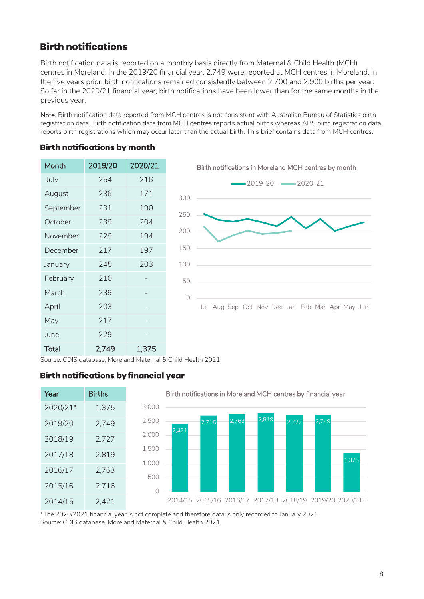### <span id="page-7-0"></span>**Birth notifications**

Birth notification data is reported on a monthly basis directly from Maternal & Child Health (MCH) centres in Moreland. In the 2019/20 financial year, 2,749 were reported at MCH centres in Moreland. In the five years prior, birth notifications remained consistently between 2,700 and 2,900 births per year. So far in the 2020/21 financial year, birth notifications have been lower than for the same months in the previous year.

Note: Birth notification data reported from MCH centres is not consistent with Australian Bureau of Statistics birth registration data. Birth notification data from MCH centres reports actual births whereas ABS birth registration data reports birth registrations which may occur later than the actual birth. This brief contains data from MCH centres.

### **Birth notifications by month**

| Month     | 2019/20 | 2020/21 |
|-----------|---------|---------|
| July      | 254     | 216     |
| August    | 236     | 171     |
| September | 231     | 190     |
| October   | 239     | 204     |
| November  | 229     | 194     |
| December  | 217     | 197     |
| January   | 245     | 203     |
| February  | 210     |         |
| March     | 239     |         |
| April     | 203     |         |
| May       | 217     |         |
| June      | 229     |         |
| Total     | 2.749   | 1,375   |



Source: CDIS database, Moreland Maternal & Child Health 2021

### **Birth notifications by financial year**



\*The 2020/2021 financial year is not complete and therefore data is only recorded to January 2021. Source: CDIS database, Moreland Maternal & Child Health 2021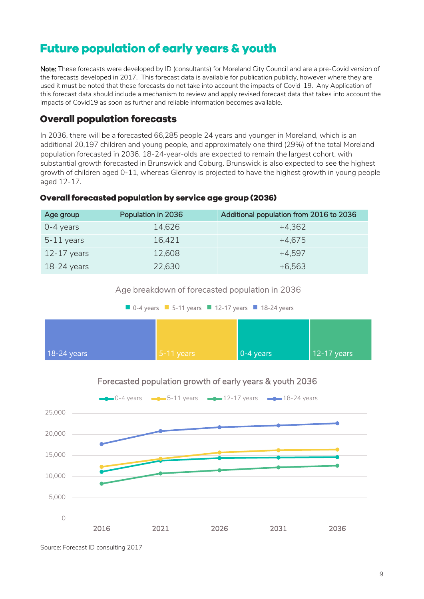# <span id="page-8-0"></span>**Future population of early years & youth**

Note: These forecasts were developed by ID (consultants) for Moreland City Council and are a pre-Covid version of the forecasts developed in 2017. This forecast data is available for publication publicly, however where they are used it must be noted that these forecasts do not take into account the impacts of Covid-19. Any Application of this forecast data should include a mechanism to review and apply revised forecast data that takes into account the impacts of Covid19 as soon as further and reliable information becomes available.

### <span id="page-8-1"></span>**Overall population forecasts**

In 2036, there will be a forecasted 66,285 people 24 years and younger in Moreland, which is an additional 20,197 children and young people, and approximately one third (29%) of the total Moreland population forecasted in 2036. 18-24-year-olds are expected to remain the largest cohort, with substantial growth forecasted in Brunswick and Coburg. Brunswick is also expected to see the highest growth of children aged 0-11, whereas Glenroy is projected to have the highest growth in young people aged 12-17.

#### **Overall forecasted population by service age group (2036)**

| Age group       | Population in 2036 | Additional population from 2016 to 2036 |
|-----------------|--------------------|-----------------------------------------|
| $0 - 4$ years   | 14,626             | $+4,362$                                |
| $5-11$ years    | 16,421             | +4.675                                  |
| $12 - 17$ years | 12,608             | $+4.597$                                |
| $18-24$ years   | 22,630             | $+6,563$                                |







### Forecasted population growth of early years & youth 2036

Source: Forecast ID consulting 2017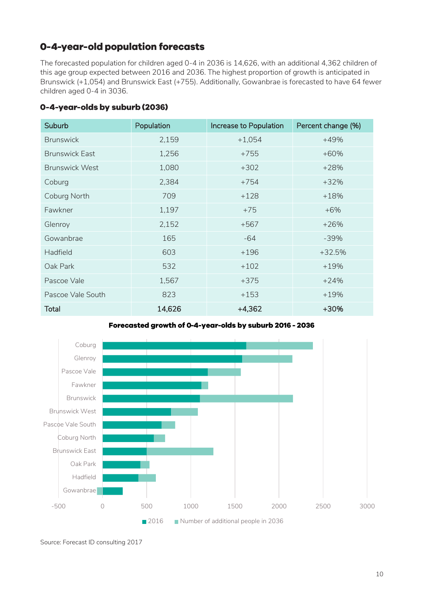### 0-4-year-old population forecasts

The forecasted population for children aged 0-4 in 2036 is 14,626, with an additional 4,362 children of this age group expected between 2016 and 2036. The highest proportion of growth is anticipated in Brunswick (+1,054) and Brunswick East (+755). Additionally, Gowanbrae is forecasted to have 64 fewer children aged 0-4 in 3036.

### <span id="page-9-0"></span>0-4-year-olds by suburb (2036)

| <b>Suburb</b>         | Population | Increase to Population | Percent change (%) |
|-----------------------|------------|------------------------|--------------------|
| <b>Brunswick</b>      | 2,159      | $+1,054$               | $+49%$             |
| <b>Brunswick East</b> | 1,256      | $+755$                 | $+60%$             |
| <b>Brunswick West</b> | 1,080      | $+302$                 | $+28%$             |
| Coburg                | 2,384      | $+754$                 | $+32%$             |
| Coburg North          | 709        | $+128$                 | $+18%$             |
| Fawkner               | 1,197      | $+75$                  | $+6%$              |
| Glenroy               | 2,152      | $+567$                 | $+26%$             |
| Gowanbrae             | 165        | -64                    | $-39%$             |
| Hadfield              | 603        | $+196$                 | $+32.5%$           |
| Oak Park              | 532        | $+102$                 | $+19%$             |
| Pascoe Vale           | 1,567      | $+375$                 | $+24%$             |
| Pascoe Vale South     | 823        | $+153$                 | $+19%$             |
| <b>Total</b>          | 14,626     | $+4,362$               | +30%               |

Forecasted growth of 0-4-year-olds by suburb 2016 - 2036



Source: Forecast ID consulting 2017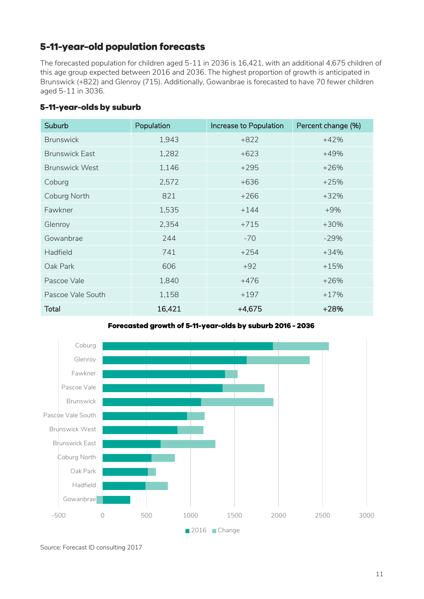### 5-11-year-old population forecasts

The forecasted population for children aged 5-11 in 2036 is 16,421, with an additional 4,675 children of this age group expected between 2016 and 2036. The highest proportion of growth is anticipated in Brunswick (+822) and Glenroy (715). Additionally, Gowanbrae is forecasted to have 70 fewer children aged 5-11 in 3036.

<span id="page-10-0"></span>

| 5-11-year-olds by suburb |  |  |
|--------------------------|--|--|
|                          |  |  |

| Suburb                | Population | Increase to Population | Percent change (%) |
|-----------------------|------------|------------------------|--------------------|
| <b>Brunswick</b>      | 1,943      | $+822$                 | $+42%$             |
| <b>Brunswick East</b> | 1,282      | $+623$                 | $+49%$             |
| <b>Brunswick West</b> | 1,146      | $+295$                 | $+26%$             |
| Coburg                | 2,572      | $+636$                 | $+25%$             |
| Coburg North          | 821        | $+266$                 | $+32%$             |
| Fawkner               | 1,535      | $+144$                 | $+9%$              |
| Glenroy               | 2,354      | $+715$                 | $+30%$             |
| Gowanbrae             | 244        | $-70$                  | $-29%$             |
| <b>Hadfield</b>       | 741        | $+254$                 | $+34%$             |
| Oak Park              | 606        | $+92$                  | $+15%$             |
| Pascoe Vale           | 1,840      | $+476$                 | $+26%$             |
| Pascoe Vale South     | 1,158      | $+197$                 | $+17%$             |
| <b>Total</b>          | 16,421     | $+4,675$               | $+28%$             |





Source: Forecast ID consulting 2017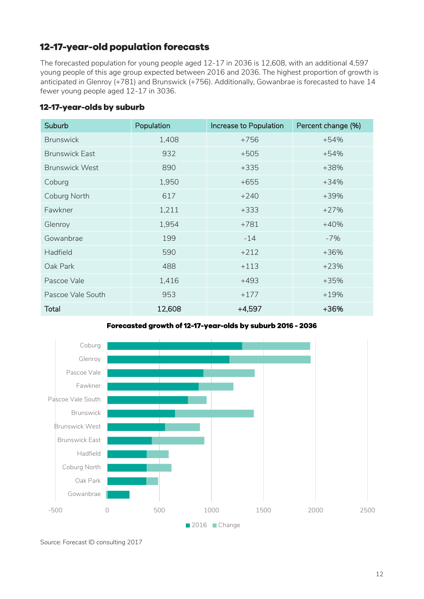### 12-17-year-old population forecasts

The forecasted population for young people aged 12-17 in 2036 is 12,608, with an additional 4,597 young people of this age group expected between 2016 and 2036. The highest proportion of growth is anticipated in Glenroy (+781) and Brunswick (+756). Additionally, Gowanbrae is forecasted to have 14 fewer young people aged 12-17 in 3036.

### <span id="page-11-0"></span>12-17-year-olds by suburb

| <b>Suburb</b>         | Population | Increase to Population | Percent change (%) |
|-----------------------|------------|------------------------|--------------------|
| <b>Brunswick</b>      | 1,408      | $+756$                 | $+54%$             |
| <b>Brunswick East</b> | 932        | $+505$                 | $+54%$             |
| <b>Brunswick West</b> | 890        | $+335$                 | +38%               |
| Coburg                | 1,950      | $+655$                 | $+34%$             |
| Coburg North          | 617        | $+240$                 | $+39%$             |
| Fawkner               | 1,211      | $+333$                 | $+27%$             |
| Glenroy               | 1,954      | $+781$                 | $+40%$             |
| Gowanbrae             | 199        | $-14$                  | $-7%$              |
| <b>Hadfield</b>       | 590        | $+212$                 | +36%               |
| Oak Park              | 488        | $+113$                 | $+23%$             |
| Pascoe Vale           | 1,416      | $+493$                 | $+35%$             |
| Pascoe Vale South     | 953        | $+177$                 | $+19%$             |
| <b>Total</b>          | 12,608     | $+4,597$               | +36%               |

Forecasted growth of 12-17-year-olds by suburb 2016 - 2036



Source: Forecast ID consulting 2017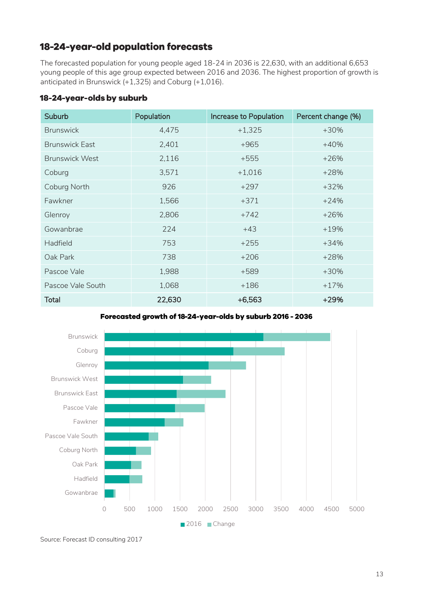### 18-24-year-old population forecasts

The forecasted population for young people aged 18-24 in 2036 is 22,630, with an additional 6,653 young people of this age group expected between 2016 and 2036. The highest proportion of growth is anticipated in Brunswick (+1,325) and Coburg (+1,016).

#### <span id="page-12-0"></span>18-24-year-olds by suburb

| Suburb                | Population | Increase to Population | Percent change (%) |
|-----------------------|------------|------------------------|--------------------|
| <b>Brunswick</b>      | 4,475      | $+1,325$               | $+30%$             |
| <b>Brunswick East</b> | 2,401      | $+965$                 | $+40%$             |
| <b>Brunswick West</b> | 2,116      | $+555$                 | $+26%$             |
| Coburg                | 3,571      | $+1,016$               | $+28%$             |
| Coburg North          | 926        | $+297$                 | $+32%$             |
| Fawkner               | 1,566      | $+371$                 | $+24%$             |
| Glenroy               | 2,806      | $+742$                 | $+26%$             |
| Gowanbrae             | 224        | $+43$                  | $+19%$             |
| <b>Hadfield</b>       | 753        | $+255$                 | $+34%$             |
| Oak Park              | 738        | $+206$                 | $+28%$             |
| Pascoe Vale           | 1,988      | $+589$                 | $+30%$             |
| Pascoe Vale South     | 1,068      | $+186$                 | $+17%$             |
| <b>Total</b>          | 22,630     | $+6,563$               | $+29%$             |

Forecasted growth of 18-24-year-olds by suburb 2016 - 2036



Source: Forecast ID consulting 2017